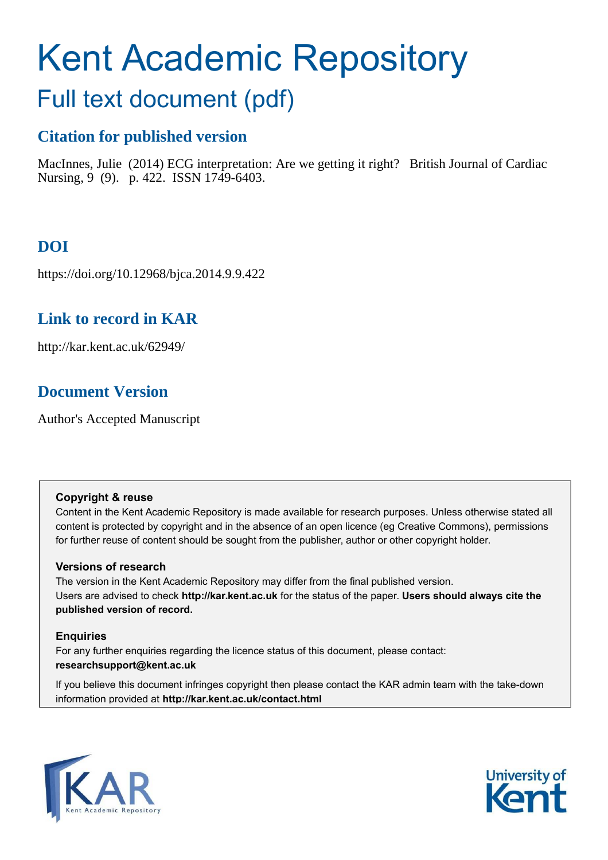# Kent Academic Repository

# Full text document (pdf)

# **Citation for published version**

MacInnes, Julie (2014) ECG interpretation: Are we getting it right? British Journal of Cardiac Nursing, 9 (9). p. 422. ISSN 1749-6403.

# **DOI**

https://doi.org/10.12968/bjca.2014.9.9.422

## **Link to record in KAR**

http://kar.kent.ac.uk/62949/

## **Document Version**

Author's Accepted Manuscript

#### **Copyright & reuse**

Content in the Kent Academic Repository is made available for research purposes. Unless otherwise stated all content is protected by copyright and in the absence of an open licence (eg Creative Commons), permissions for further reuse of content should be sought from the publisher, author or other copyright holder.

#### **Versions of research**

The version in the Kent Academic Repository may differ from the final published version. Users are advised to check **http://kar.kent.ac.uk** for the status of the paper. **Users should always cite the published version of record.**

#### **Enquiries**

For any further enquiries regarding the licence status of this document, please contact: **researchsupport@kent.ac.uk**

If you believe this document infringes copyright then please contact the KAR admin team with the take-down information provided at **http://kar.kent.ac.uk/contact.html**



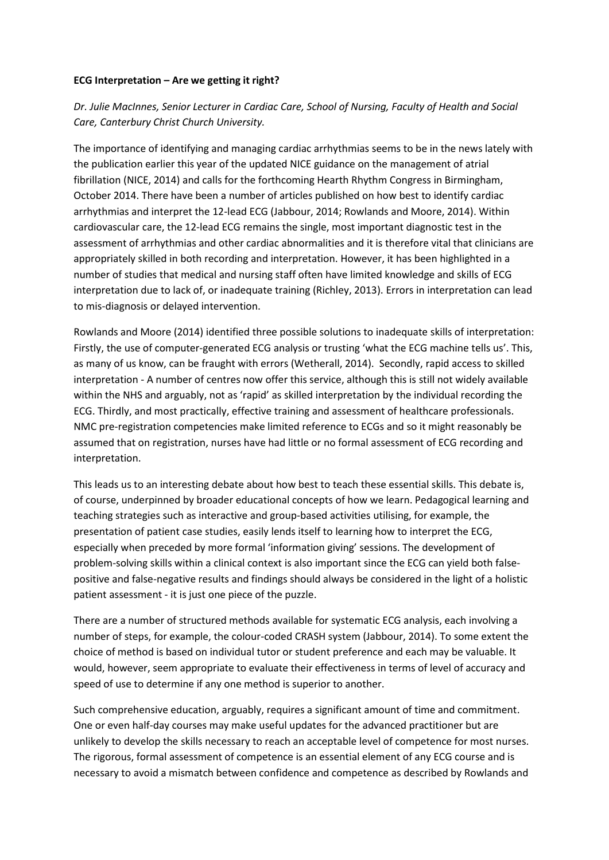#### **ECG Interpretation – Are we getting it right?**

#### *Dr. Julie MacInnes, Senior Lecturer in Cardiac Care, School of Nursing, Faculty of Health and Social Care, Canterbury Christ Church University.*

The importance of identifying and managing cardiac arrhythmias seems to be in the news lately with the publication earlier this year of the updated NICE guidance on the management of atrial fibrillation (NICE, 2014) and calls for the forthcoming Hearth Rhythm Congress in Birmingham, October 2014. There have been a number of articles published on how best to identify cardiac arrhythmias and interpret the 12-lead ECG (Jabbour, 2014; Rowlands and Moore, 2014). Within cardiovascular care, the 12-lead ECG remains the single, most important diagnostic test in the assessment of arrhythmias and other cardiac abnormalities and it is therefore vital that clinicians are appropriately skilled in both recording and interpretation. However, it has been highlighted in a number of studies that medical and nursing staff often have limited knowledge and skills of ECG interpretation due to lack of, or inadequate training (Richley, 2013). Errors in interpretation can lead to mis-diagnosis or delayed intervention.

Rowlands and Moore (2014) identified three possible solutions to inadequate skills of interpretation: Firstly, the use of computer-generated ECG analysis or trusting 'what the ECG machine tells us'. This, as many of us know, can be fraught with errors (Wetherall, 2014). Secondly, rapid access to skilled interpretation - A number of centres now offer this service, although this is still not widely available within the NHS and arguably, not as 'rapid' as skilled interpretation by the individual recording the ECG. Thirdly, and most practically, effective training and assessment of healthcare professionals. NMC pre-registration competencies make limited reference to ECGs and so it might reasonably be assumed that on registration, nurses have had little or no formal assessment of ECG recording and interpretation.

This leads us to an interesting debate about how best to teach these essential skills. This debate is, of course, underpinned by broader educational concepts of how we learn. Pedagogical learning and teaching strategies such as interactive and group-based activities utilising, for example, the presentation of patient case studies, easily lends itself to learning how to interpret the ECG, especially when preceded by more formal 'information giving' sessions. The development of problem-solving skills within a clinical context is also important since the ECG can yield both falsepositive and false-negative results and findings should always be considered in the light of a holistic patient assessment - it is just one piece of the puzzle.

There are a number of structured methods available for systematic ECG analysis, each involving a number of steps, for example, the colour-coded CRASH system (Jabbour, 2014). To some extent the choice of method is based on individual tutor or student preference and each may be valuable. It would, however, seem appropriate to evaluate their effectiveness in terms of level of accuracy and speed of use to determine if any one method is superior to another.

Such comprehensive education, arguably, requires a significant amount of time and commitment. One or even half-day courses may make useful updates for the advanced practitioner but are unlikely to develop the skills necessary to reach an acceptable level of competence for most nurses. The rigorous, formal assessment of competence is an essential element of any ECG course and is necessary to avoid a mismatch between confidence and competence as described by Rowlands and